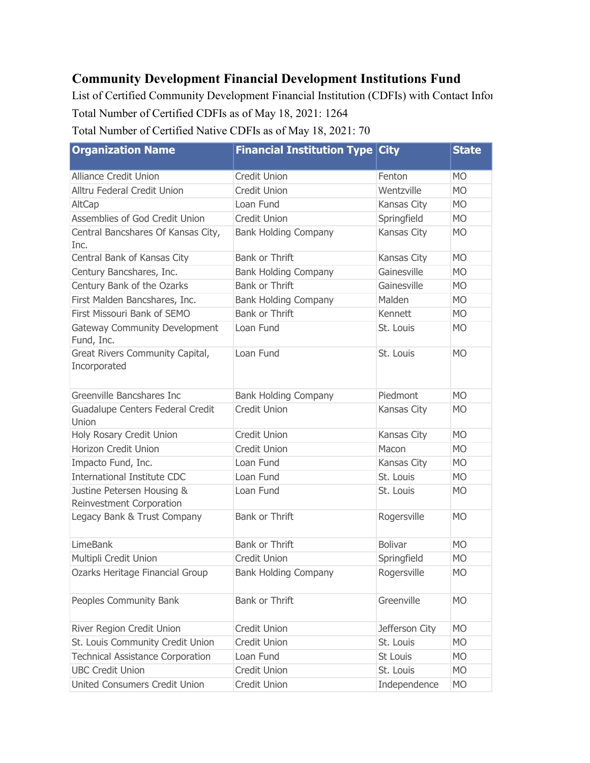## **Community Development Financial Development Institutions Fund**

List of Certified Community Development Financial Institution (CDFIs) with Contact Infor Total Number of Certified CDFIs as of May 18, 2021: 1264

Total Number of Certified Native CDFIs as of May 18, 2021: 70

| <b>Organization Name</b>                               | <b>Financial Institution Type</b> | <b>City</b>    | <b>State</b> |
|--------------------------------------------------------|-----------------------------------|----------------|--------------|
| <b>Alliance Credit Union</b>                           | Credit Union                      | Fenton         | <b>MO</b>    |
| Alltru Federal Credit Union                            | <b>Credit Union</b>               | Wentzville     | <b>MO</b>    |
| AltCap                                                 | Loan Fund                         | Kansas City    | <b>MO</b>    |
| Assemblies of God Credit Union                         | <b>Credit Union</b>               | Springfield    | <b>MO</b>    |
| Central Bancshares Of Kansas City,<br>Inc.             | <b>Bank Holding Company</b>       | Kansas City    | <b>MO</b>    |
| Central Bank of Kansas City                            | <b>Bank or Thrift</b>             | Kansas City    | <b>MO</b>    |
| Century Bancshares, Inc.                               | <b>Bank Holding Company</b>       | Gainesville    | <b>MO</b>    |
| Century Bank of the Ozarks                             | <b>Bank or Thrift</b>             | Gainesville    | <b>MO</b>    |
| First Malden Bancshares, Inc.                          | <b>Bank Holding Company</b>       | Malden         | <b>MO</b>    |
| First Missouri Bank of SEMO                            | <b>Bank or Thrift</b>             | Kennett        | <b>MO</b>    |
| <b>Gateway Community Development</b><br>Fund, Inc.     | Loan Fund                         | St. Louis      | <b>MO</b>    |
| Great Rivers Community Capital,<br>Incorporated        | Loan Fund                         | St. Louis      | <b>MO</b>    |
| Greenville Bancshares Inc                              | <b>Bank Holding Company</b>       | Piedmont       | <b>MO</b>    |
| Guadalupe Centers Federal Credit<br>Union              | <b>Credit Union</b>               | Kansas City    | <b>MO</b>    |
| Holy Rosary Credit Union                               | <b>Credit Union</b>               | Kansas City    | <b>MO</b>    |
| Horizon Credit Union                                   | <b>Credit Union</b>               | Macon          | <b>MO</b>    |
| Impacto Fund, Inc.                                     | Loan Fund                         | Kansas City    | <b>MO</b>    |
| <b>International Institute CDC</b>                     | Loan Fund                         | St. Louis      | <b>MO</b>    |
| Justine Petersen Housing &<br>Reinvestment Corporation | Loan Fund                         | St. Louis      | <b>MO</b>    |
| Legacy Bank & Trust Company                            | Bank or Thrift                    | Rogersville    | <b>MO</b>    |
| <b>LimeBank</b>                                        | Bank or Thrift                    | <b>Bolivar</b> | <b>MO</b>    |
| Multipli Credit Union                                  | <b>Credit Union</b>               | Springfield    | <b>MO</b>    |
| Ozarks Heritage Financial Group                        | <b>Bank Holding Company</b>       | Rogersville    | <b>MO</b>    |
| Peoples Community Bank                                 | Bank or Thrift                    | Greenville     | <b>MO</b>    |
| River Region Credit Union                              | Credit Union                      | Jefferson City | <b>MO</b>    |
| St. Louis Community Credit Union                       | Credit Union                      | St. Louis      | <b>MO</b>    |
| <b>Technical Assistance Corporation</b>                | Loan Fund                         | St Louis       | <b>MO</b>    |
| <b>UBC Credit Union</b>                                | Credit Union                      | St. Louis      | <b>MO</b>    |
| United Consumers Credit Union                          | Credit Union                      | Independence   | <b>MO</b>    |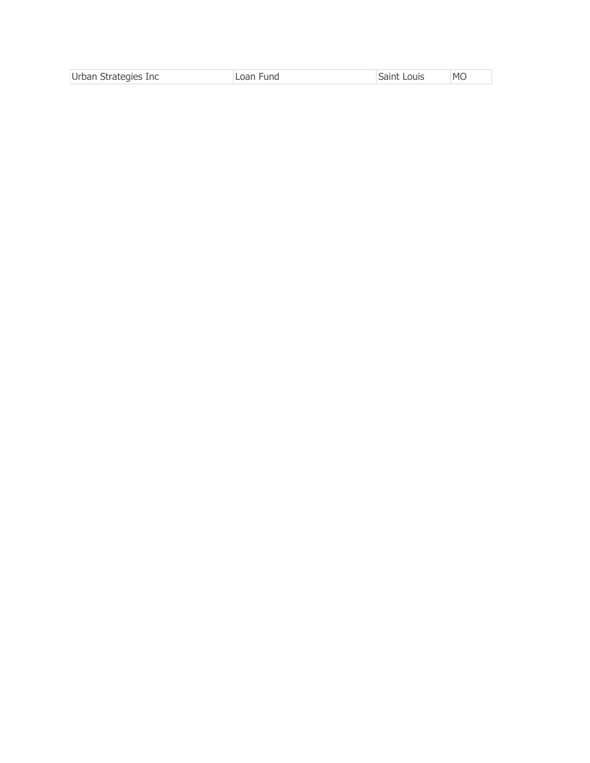| Urban Strategies Inc | Loan Fund | Saint Louis | <b>MO</b> |
|----------------------|-----------|-------------|-----------|
|                      |           |             |           |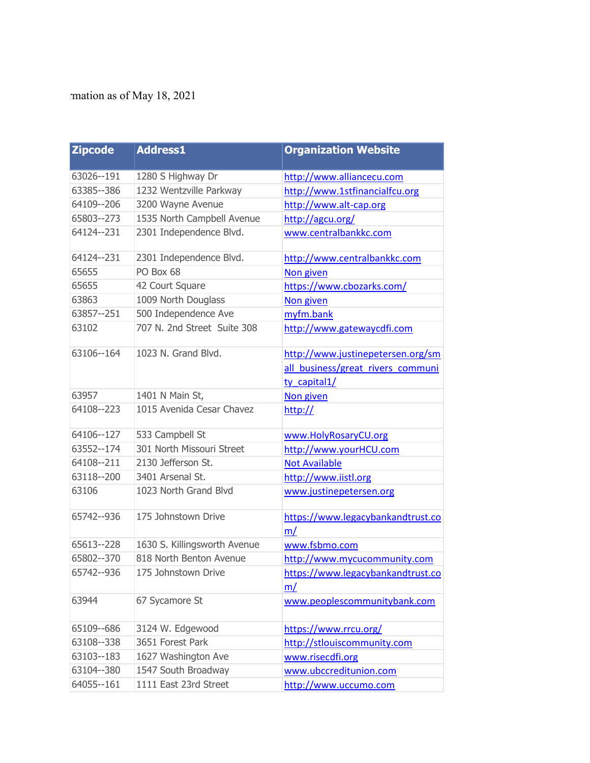## rmation as of May 18, 2021

| <b>Zipcode</b> | <b>Address1</b>              | <b>Organization Website</b>                                                            |
|----------------|------------------------------|----------------------------------------------------------------------------------------|
| 63026 -- 191   | 1280 S Highway Dr            | http://www.alliancecu.com                                                              |
| 63385 -- 386   | 1232 Wentzville Parkway      | http://www.1stfinancialfcu.org                                                         |
| 64109 -- 206   | 3200 Wayne Avenue            | http://www.alt-cap.org                                                                 |
| 65803--273     | 1535 North Campbell Avenue   | http://agcu.org/                                                                       |
| 64124 -- 231   | 2301 Independence Blvd.      | www.centralbankkc.com                                                                  |
| 64124 -- 231   | 2301 Independence Blvd.      | http://www.centralbankkc.com                                                           |
| 65655          | PO Box 68                    | Non given                                                                              |
| 65655          | 42 Court Square              | https://www.cbozarks.com/                                                              |
| 63863          | 1009 North Douglass          | Non given                                                                              |
| 63857 -- 251   | 500 Independence Ave         | myfm.bank                                                                              |
| 63102          | 707 N. 2nd Street Suite 308  | http://www.gatewaycdfi.com                                                             |
| 63106--164     | 1023 N. Grand Blvd.          | http://www.justinepetersen.org/sm<br>all business/great rivers communi<br>ty_capital1/ |
| 63957          | 1401 N Main St,              | Non given                                                                              |
| 64108--223     | 1015 Avenida Cesar Chavez    | http://                                                                                |
| 64106--127     | 533 Campbell St              | www.HolyRosaryCU.org                                                                   |
| 63552 -- 174   | 301 North Missouri Street    | http://www.yourHCU.com                                                                 |
| 64108--211     | 2130 Jefferson St.           | <b>Not Available</b>                                                                   |
| 63118 -- 200   | 3401 Arsenal St.             | http://www.iistl.org                                                                   |
| 63106          | 1023 North Grand Blvd        | www.justinepetersen.org                                                                |
| 65742 -- 936   | 175 Johnstown Drive          | https://www.legacybankandtrust.co<br>m/                                                |
| 65613--228     | 1630 S. Killingsworth Avenue | www.fsbmo.com                                                                          |
| 65802 -- 370   | 818 North Benton Avenue      | http://www.mycucommunity.com                                                           |
| 65742--936     | 175 Johnstown Drive          | https://www.legacybankandtrust.co<br>m/                                                |
| 63944          | 67 Sycamore St               | www.peoplescommunitybank.com                                                           |
| 65109--686     | 3124 W. Edgewood             | https://www.rrcu.org/                                                                  |
| 63108--338     | 3651 Forest Park             | http://stlouiscommunity.com                                                            |
| 63103--183     | 1627 Washington Ave          | www.risecdfi.org                                                                       |
| 63104--380     | 1547 South Broadway          | www.ubccreditunion.com                                                                 |
| 64055 -- 161   | 1111 East 23rd Street        | http://www.uccumo.com                                                                  |